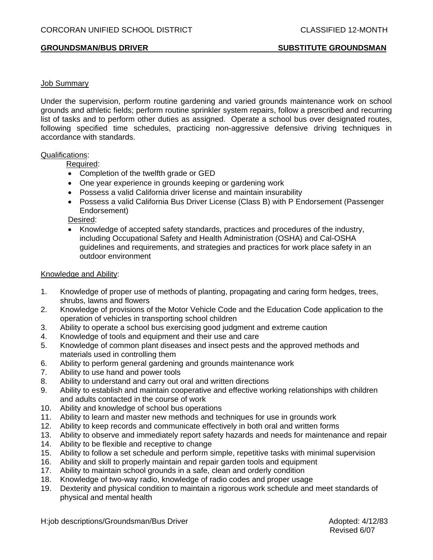### **GROUNDSMAN/BUS DRIVER SUBSTITUTE GROUNDSMAN**

# Job Summary

Under the supervision, perform routine gardening and varied grounds maintenance work on school grounds and athletic fields; perform routine sprinkler system repairs, follow a prescribed and recurring list of tasks and to perform other duties as assigned. Operate a school bus over designated routes, following specified time schedules, practicing non-aggressive defensive driving techniques in accordance with standards.

## Qualifications:

Required:

- Completion of the twelfth grade or GED
- One year experience in grounds keeping or gardening work
- Possess a valid California driver license and maintain insurability
- Possess a valid California Bus Driver License (Class B) with P Endorsement (Passenger Endorsement)

Desired:

• Knowledge of accepted safety standards, practices and procedures of the industry, including Occupational Safety and Health Administration (OSHA) and Cal-OSHA guidelines and requirements, and strategies and practices for work place safety in an outdoor environment

## Knowledge and Ability:

- 1. Knowledge of proper use of methods of planting, propagating and caring form hedges, trees, shrubs, lawns and flowers
- 2. Knowledge of provisions of the Motor Vehicle Code and the Education Code application to the operation of vehicles in transporting school children
- 3. Ability to operate a school bus exercising good judgment and extreme caution
- 4. Knowledge of tools and equipment and their use and care
- 5. Knowledge of common plant diseases and insect pests and the approved methods and materials used in controlling them
- 6. Ability to perform general gardening and grounds maintenance work
- 7. Ability to use hand and power tools
- 8. Ability to understand and carry out oral and written directions
- 9. Ability to establish and maintain cooperative and effective working relationships with children and adults contacted in the course of work
- 10. Ability and knowledge of school bus operations
- 11. Ability to learn and master new methods and techniques for use in grounds work
- 12. Ability to keep records and communicate effectively in both oral and written forms
- 13. Ability to observe and immediately report safety hazards and needs for maintenance and repair
- 14. Ability to be flexible and receptive to change
- 15. Ability to follow a set schedule and perform simple, repetitive tasks with minimal supervision
- 16. Ability and skill to properly maintain and repair garden tools and equipment
- 17. Ability to maintain school grounds in a safe, clean and orderly condition
- 18. Knowledge of two-way radio, knowledge of radio codes and proper usage
- 19. Dexterity and physical condition to maintain a rigorous work schedule and meet standards of physical and mental health

H:job descriptions/Groundsman/Bus Driver Adopted: 4/12/83